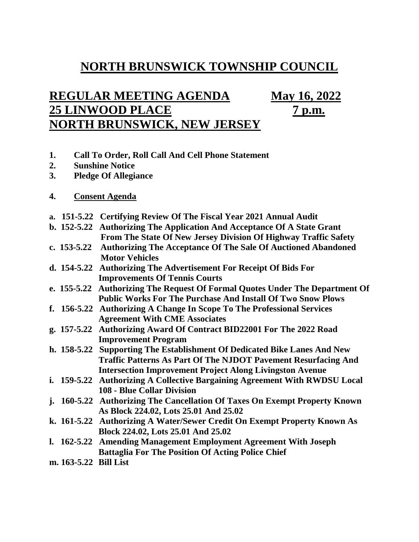## **NORTH BRUNSWICK TOWNSHIP COUNCIL**

## **REGULAR MEETING AGENDA May 16, 2022 25 LINWOOD PLACE 7 p.m. NORTH BRUNSWICK, NEW JERSEY**

- **1. Call To Order, Roll Call And Cell Phone Statement**
- **2. Sunshine Notice**
- **3. Pledge Of Allegiance**
- **4. Consent Agenda**
- **a. 151-5.22 Certifying Review Of The Fiscal Year 2021 Annual Audit**
- **b. 152-5.22 Authorizing The Application And Acceptance Of A State Grant From The State Of New Jersey Division Of Highway Traffic Safety**
- **c. 153-5.22 Authorizing The Acceptance Of The Sale Of Auctioned Abandoned Motor Vehicles**
- **d. 154-5.22 Authorizing The Advertisement For Receipt Of Bids For Improvements Of Tennis Courts**
- **e. 155-5.22 Authorizing The Request Of Formal Quotes Under The Department Of Public Works For The Purchase And Install Of Two Snow Plows**
- **f. 156-5.22 Authorizing A Change In Scope To The Professional Services Agreement With CME Associates**
- **g. 157-5.22 Authorizing Award Of Contract BID22001 For The 2022 Road Improvement Program**
- **h. 158-5.22 Supporting The Establishment Of Dedicated Bike Lanes And New Traffic Patterns As Part Of The NJDOT Pavement Resurfacing And Intersection Improvement Project Along Livingston Avenue**
- **i. 159-5.22 Authorizing A Collective Bargaining Agreement With RWDSU Local 108 - Blue Collar Division**
- **j. 160-5.22 Authorizing The Cancellation Of Taxes On Exempt Property Known As Block 224.02, Lots 25.01 And 25.02**
- **k. 161-5.22 Authorizing A Water/Sewer Credit On Exempt Property Known As Block 224.02, Lots 25.01 And 25.02**
- **l. 162-5.22 Amending Management Employment Agreement With Joseph Battaglia For The Position Of Acting Police Chief**
- **m. 163-5.22 Bill List**